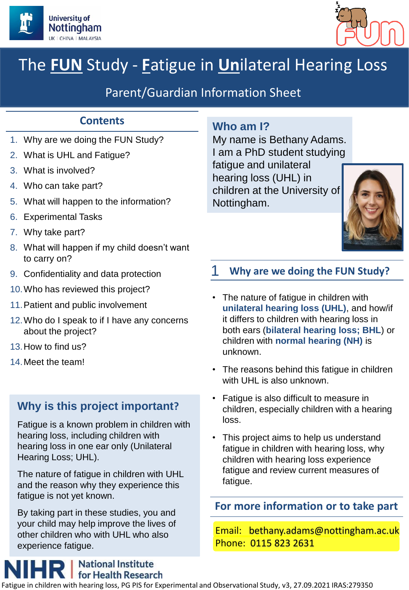



# The **FUN** Study - **F**atigue in **Un**ilateral Hearing Loss

## Parent/Guardian Information Sheet

## **Contents**

- 1. Why are we doing the FUN Study?
- 2. What is UHL and Fatigue?
- 3. What is involved?
- 4. Who can take part?
- 5. What will happen to the information?
- 6. Experimental Tasks
- 7. Why take part?
- 8. What will happen if my child doesn't want to carry on?
- 9. Confidentiality and data protection
- 10.Who has reviewed this project?
- 11.Patient and public involvement
- 12.Who do I speak to if I have any concerns about the project?
- 13.How to find us?
- 14.Meet the team!

## **Why is this project important?**

Fatigue is a known problem in children with hearing loss, including children with hearing loss in one ear only (Unilateral Hearing Loss; UHL).

The nature of fatigue in children with UHL and the reason why they experience this fatigue is not yet known.

By taking part in these studies, you and your child may help improve the lives of other children who with UHL who also experience fatigue.

## **National Institute for Health Research**

## **Who am I?**

My name is Bethany Adams. I am a PhD student studying fatigue and unilateral hearing loss (UHL) in children at the University of Nottingham.



## 1 **Why are we doing the FUN Study?**

- The nature of fatigue in children with **unilateral hearing loss (UHL)**, and how/if it differs to children with hearing loss in both ears (**bilateral hearing loss; BHL**) or children with **normal hearing (NH)** is unknown.
- The reasons behind this fatigue in children with UHL is also unknown.
- Fatigue is also difficult to measure in children, especially children with a hearing loss.
- This project aims to help us understand fatigue in children with hearing loss, why children with hearing loss experience fatigue and review current measures of fatigue.

**For more information or to take part**

Email: bethany.adams@nottingham.ac.uk Phone: 0115 823 2631

Ie in children with hearing loss, PG PIS for Experimental and Observational Study, v3, 27.09.2021 IRAS:279350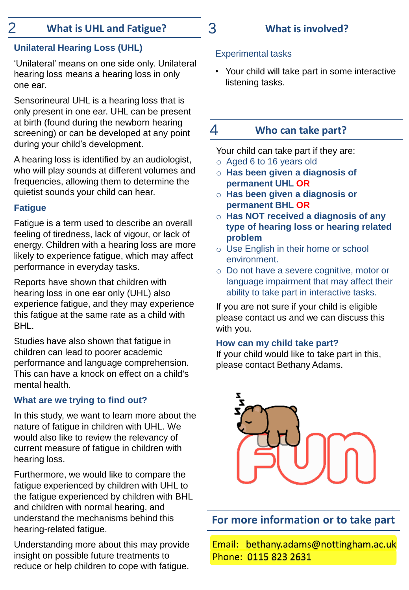## 2 **What is UHL and Fatigue?** 3 **What is involved?**

## **Unilateral Hearing Loss (UHL)**

'Unilateral' means on one side only. Unilateral hearing loss means a hearing loss in only one ear.

Sensorineural UHL is a hearing loss that is only present in one ear. UHL can be present at birth (found during the newborn hearing screening) or can be developed at any point during your child's development.

A hearing loss is identified by an audiologist, who will play sounds at different volumes and frequencies, allowing them to determine the quietist sounds your child can hear.

#### **Fatigue**

Fatigue is a term used to describe an overall feeling of tiredness, lack of vigour, or lack of energy. Children with a hearing loss are more likely to experience fatigue, which may affect performance in everyday tasks.

Reports have shown that children with hearing loss in one ear only (UHL) also experience fatigue, and they may experience this fatigue at the same rate as a child with BHL.

Studies have also shown that fatigue in children can lead to poorer academic performance and language comprehension. This can have a knock on effect on a child's mental health.

#### **What are we trying to find out?**

In this study, we want to learn more about the nature of fatigue in children with UHL. We would also like to review the relevancy of current measure of fatigue in children with hearing loss.

Furthermore, we would like to compare the fatigue experienced by children with UHL to the fatigue experienced by children with BHL and children with normal hearing, and understand the mechanisms behind this hearing-related fatigue.

Understanding more about this may provide insight on possible future treatments to reduce or help children to cope with fatigue.

#### Experimental tasks

• Your child will take part in some interactive listening tasks.

## 4 **Who can take part?**

Your child can take part if they are:

- o Aged 6 to 16 years old
- o **Has been given a diagnosis of permanent UHL OR**
- o **Has been given a diagnosis or permanent BHL OR**
- o **Has NOT received a diagnosis of any type of hearing loss or hearing related problem**
- o Use English in their home or school environment.
- o Do not have a severe cognitive, motor or language impairment that may affect their ability to take part in interactive tasks.

If you are not sure if your child is eligible please contact us and we can discuss this with you.

#### **How can my child take part?**

If your child would like to take part in this, please contact Bethany Adams.



**For more information or to take part**

Email: bethany.adams@nottingham.ac.uk Phone: 0115 823 2631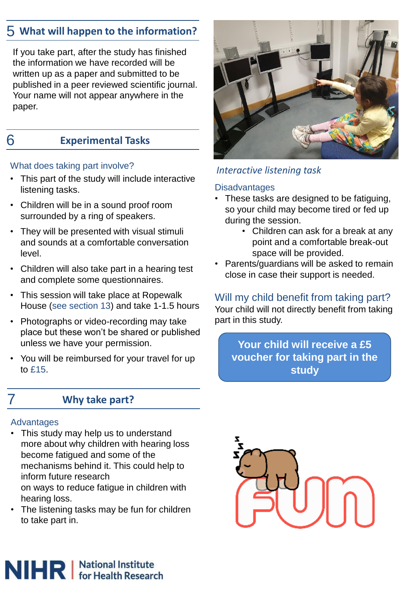## 5 **What will happen to the information?**

If you take part, after the study has finished the information we have recorded will be written up as a paper and submitted to be published in a peer reviewed scientific journal. Your name will not appear anywhere in the paper.

## 6 **Experimental Tasks**

#### What does taking part involve?

- This part of the study will include interactive listening tasks.
- Children will be in a sound proof room surrounded by a ring of speakers.
- They will be presented with visual stimuli and sounds at a comfortable conversation level.
- Children will also take part in a hearing test and complete some questionnaires.
- This session will take place at Ropewalk House (see section 13) and take 1-1.5 hours
- Photographs or video-recording may take place but these won't be shared or published unless we have your permission.
- You will be reimbursed for your travel for up to £15.

## 7 **Why take part?**

#### **Advantages**

- This study may help us to understand more about why children with hearing loss become fatigued and some of the mechanisms behind it. This could help to inform future research on ways to reduce fatigue in children with hearing loss.
- The listening tasks may be fun for children to take part in.



### *Interactive listening task*

#### **Disadvantages**

- These tasks are designed to be fatiguing, so your child may become tired or fed up during the session.
	- Children can ask for a break at any point and a comfortable break-out space will be provided.
- Parents/guardians will be asked to remain close in case their support is needed.

### Will my child benefit from taking part?

Your child will not directly benefit from taking part in this study.

**Your child will receive a £5 voucher for taking part in the study**

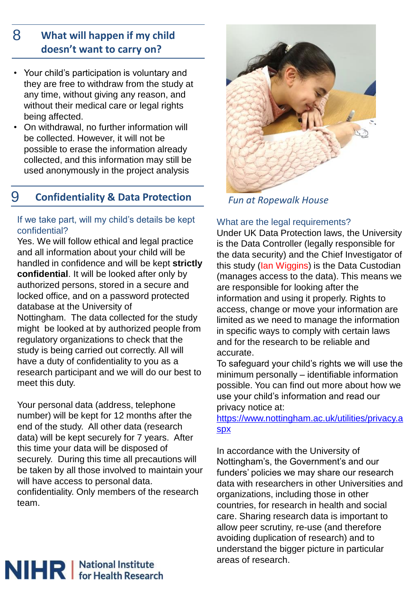#### **What will happen if my child doesn't want to carry on?** 8

- Your child's participation is voluntary and they are free to withdraw from the study at any time, without giving any reason, and without their medical care or legal rights being affected.
- On withdrawal, no further information will be collected. However, it will not be possible to erase the information already collected, and this information may still be used anonymously in the project analysis

## 9 **Confidentiality & Data Protection**

#### If we take part, will my child's details be kept confidential?

Yes. We will follow ethical and legal practice and all information about your child will be handled in confidence and will be kept **strictly confidential**. It will be looked after only by authorized persons, stored in a secure and locked office, and on a password protected database at the University of Nottingham. The data collected for the study might be looked at by authorized people from regulatory organizations to check that the study is being carried out correctly. All will have a duty of confidentiality to you as a research participant and we will do our best to meet this duty.

Your personal data (address, telephone number) will be kept for 12 months after the end of the study. All other data (research data) will be kept securely for 7 years. After this time your data will be disposed of securely. During this time all precautions will be taken by all those involved to maintain your will have access to personal data. confidentiality. Only members of the research team.



*Fun at Ropewalk House*

#### What are the legal requirements?

Under UK Data Protection laws, the University is the Data Controller (legally responsible for the data security) and the Chief Investigator of this study (Ian Wiggins) is the Data Custodian (manages access to the data). This means we are responsible for looking after the information and using it properly. Rights to access, change or move your information are limited as we need to manage the information in specific ways to comply with certain laws and for the research to be reliable and accurate.

To safeguard your child's rights we will use the minimum personally – identifiable information possible. You can find out more about how we use your child's information and read our privacy notice at:

[https://www.nottingham.ac.uk/utilities/privacy.a](https://www.nottingham.ac.uk/utilities/privacy.aspx) spx

In accordance with the University of Nottingham's, the Government's and our funders' policies we may share our research data with researchers in other Universities and organizations, including those in other countries, for research in health and social care. Sharing research data is important to allow peer scrutiny, re-use (and therefore avoiding duplication of research) and to understand the bigger picture in particular areas of research.

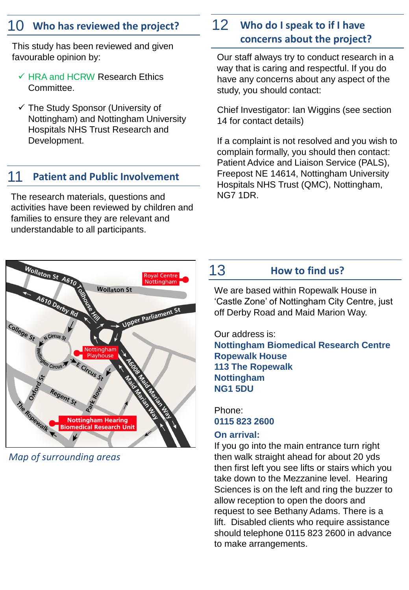This study has been reviewed and given favourable opinion by:

- $\checkmark$  HRA and HCRW Research Ethics Committee.
- ✓ The Study Sponsor (University of Nottingham) and Nottingham University Hospitals NHS Trust Research and Development.

## 11 **Patient and Public Involvement**

The research materials, questions and activities have been reviewed by children and families to ensure they are relevant and understandable to all participants.

# Wollaton St A61 **oval Centre Wollaton St Upper Parliament** College<sub>St</sub> N Circus S <sup>7</sup> Circus<sup>\*</sup> **Nottingham Hearing Biomedical Research Unit**

*Map of surrounding areas*

## 10 Who has reviewed the project? 12 Who do I speak to if I have **concerns about the project?**

Our staff always try to conduct research in a way that is caring and respectful. If you do have any concerns about any aspect of the study, you should contact:

Chief Investigator: Ian Wiggins (see section 14 for contact details)

If a complaint is not resolved and you wish to complain formally, you should then contact: Patient Advice and Liaison Service (PALS), Freepost NE 14614, Nottingham University Hospitals NHS Trust (QMC), Nottingham, NG7 1DR.

## 13 **How to find us?**

We are based within Ropewalk House in 'Castle Zone' of Nottingham City Centre, just off Derby Road and Maid Marion Way.

Our address is: **Nottingham Biomedical Research Centre Ropewalk House 113 The Ropewalk Nottingham NG1 5DU**

Phone: **0115 823 2600**

#### **On arrival:**

If you go into the main entrance turn right then walk straight ahead for about 20 yds then first left you see lifts or stairs which you take down to the Mezzanine level. Hearing Sciences is on the left and ring the buzzer to allow reception to open the doors and request to see Bethany Adams. There is a lift. Disabled clients who require assistance should telephone 0115 823 2600 in advance to make arrangements.